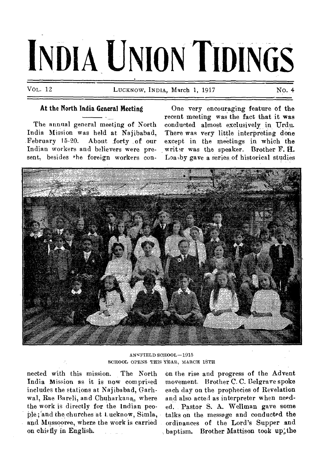# **INDIA UNION TIDINGS**

VOL. 12 LUCKNOW, INDIA, March 1, 1917 NO. 4

## At the North India General Meeting

The annual general meeting of North India Mission was held at Najibabad,<br>February 15-20. About forty of our About forty of our Indian workers and believers were present, besides the foreign workers con-

One very encouraging feature of the recent meeting was the fact that it was conducted almost exclusively in Urdu. There was very little interpreting done except in the meetings in which the writer was the speaker. Brother F. H. Loa,by gave a series of historical studies



ANNFIELD SCHOOL-1915 SCHOOL OPENS THIS YEAR, MARCH 18TH

nected with this mission. The North India Mission as it is now comprised includes the stations at Najibabad, Garhwal, Rae Bareli, and Chuharkana, where the work is directly for the Indian people; and the churches at Lucknow, Simla, and Mussooree, where the work is carried on chiefly in English.

on the rise and progress of the Advent movement. Brother C. C. Belgrave spoke each day on the prophecies of Revelation and also acted as interpreter when needed. Pastor S. A. Wellman gave some talks on the message and conducted the ordinances of the Lord's Supper and baptism. Brother Mattison took up the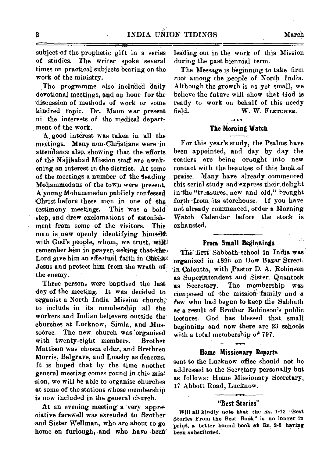subject of the prophetic gift in a series of studies. The writer spoke several times on practical subjects bearing on the work of the ministry.

The programme also included daily devotional meetings, and an hour for the discussion of methods of work or some kindred topic. Dr. Mann war present *ui* the interests of the medical depart, ment of the work.

A. good interest was taken in all the meetings. Many non-Christians were in attendance also, showing that the efforts of the Najibabad Mission-staff are awakening an interest in the district. At some of the meetings a number of the **leading** Mohammedans of the town were present. A young Mohammedan publicly confessed Christ before these men in one of the testimony meetings. This was a bold step, and drew exclamations of astonishment from some of the visitors. This man is now openly identifying himself with God's people, whom, we trust, will! remember him in prayer, asking-that-the-<br>Lord give him an effectual faith in Ohrist Jesus and protect him from the wrath of: the enemy.

Three persons were baptised the last: day of the meeting. It was decided to organise a North India Mission church, to include in its membership all the workers and Indian believers outside the cburches at Lucknow, Simla, and Mussooree. The new church was 'organised With twenty-eight members. Brother Mattison was chosen elder, and Brethren Morris, Belgrave, and Loasby as deacons. It is hoped that by the time another general meeting comes round in this mis!' sion, we will be able to organise churches at some of the stations whose membership is now included in the general church.

At an evening meeting a very appreeiative farewell was extended to Brother and Sister Wellman, who are about to go home on furlough, and who have been leading out in the work of this Mission during the past biennial term.

The Message is beginning to take firm root among the people of North India. Although the growth is as yet small, we believe the future will show that God is ready to work on behalf of this needy field. W. **W. FLETCHER.** 

## **The Morning Watch**

For this year's study, the Psalms have been appointed, and day by day the readers are being brought into new contact with the beauties of this book of *praise.* Many have already commenced this serial study and-express their delight in the "treasures, new and old," brought forth—from its storehouse. If you have not already commenced, order a Morning Watch Calendar before the stock is exhausted.

## **From Small Beginnings**

The first Sabbath-school in India was organized in 1896 on Bow Bazar Street. in Calcutta, with Pastor D. A. Robinson as Superintendent and Sister. Quantock as Secretary. The membership was composed of the mission family and a few who had begun to keep the Sabbath as a result of Brother Robinson's public lectures. God has blessed that small beginning and now there are 23 schools with a total membership of 797.

## **Home Missionary Reports**

sent to the Lucknow office should not be addressed to the Secretary personally but as follows: Home Missionary Secretary, 17 Abbott Road, Lucknow.

## **"Best Stories"**

**Will all kindly** *note that* **the Bs. 1-12 "Best Stories From the Best Book" is no longer in 'print, a better bound book at Es. 2-S having been** *substituted.*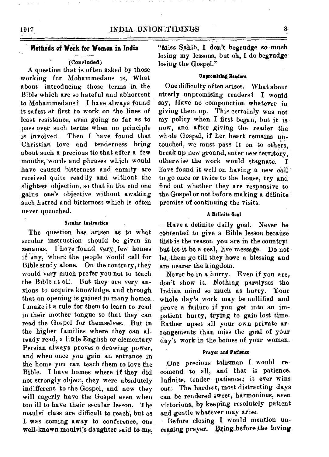## **(Concluded)**

A question that is often asked by those working for Mohammedans is, What about introducing those terms in the Bible which are so hateful and abhorrent to Mohammedans? I have always found it safest at first to work on the lines of least resistance, even going so far as to pass over such terms when no principle is involved. Then I have found that Christian love and tenderness bring about such a precious tie that after a few months, words and phrases which would have caused bitterness and enmity are received quite readily and without the slightest objection, so that in the end one gains one's objective without awaking such hatred and bitterness which is often never quenched.

### **Secular Instruction**

The question has arisen as to what secular instruction should be given in zenanas. I have found very few homes if any, where the people would call for Bible study alone. On the contrary, they would very much prefer you not to teach the Bible at all. But they are very anxious to acquire knowledge, and through that an opening is gained in many homes. I make it a rule for them to learn to read in their mother tongue so that they can read the Gospel for themselves. But in the higher families where they can already read, a little English or elementary Persian always proves a drawing power, and when once you gain an entrance in the home you can teach them to love the Bible. I have homes where if they did not strongly object, they were absolutely indifferent to the Gospel, and now they will eagerly have the Gospel even when too ill to have their secular lesson. 'I he maulvi class are difficult to reach, but as I was coming away to conference, one well-known maulvi's daughter said to me, "Miss Sahib, I don't begrudge so much losing my lessons, but oh, I do begrudge losing the Gospel."

## **Unpromising Readers**

One difficulty often arises. What about utterly unpromising readers ? I would say, Have no compunction whatever in giving them up. This certainly was not my policy when I first began, but it is now, and after giving the reader the whole Gospel, if her heart remains untouched, we must pass it on to others, break up new ground, enter new territory, otherwise the work would stagnate. I have found it well on having a new call to go once or twice to the house, try and find out whether they are responsive to the Gospel or not before making a definite promise of continuing the visits.

## **A Definite Goal**

Have a definite daily goal. Never be contented to give a Bible lesson because that is the reason you are in the country! but, let it be a real, live message. Do not let, them go till they have a blessing and are nearer the kingdom.

Never be in a hurry. Even if you are, don't show it. Nothing paralyses the Indian mind so much as hurry. Your whole day's work may be nullified and prove a failure if you get into an impatient hurry, trying to gain lost time. Rather upset all your own private arrangements than miss the goal of your day's work in the homes of your women.

## **Prayer and Patience**

One precious talisman I would recomend to all, and that is patience. Infinite, tender patience; it ever wins out. The hardest, most distracting days can be rendered sweet, harmonious, even victorious, by keeping resolutely patient and gentle whatever may arise.

Before closing I would mention unceasing prayer. Bring before the loving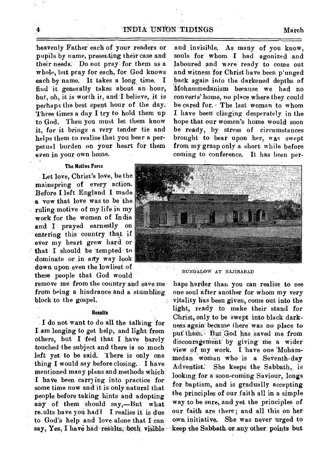## INDIA UNION TIDINGS March

heavenly Father each of your readers or pupils by name, presenting their case and their *needs:* Do not pray for them as a whole, but pray for each, for God knows each by name. It takes a long time. I find it generally takes about an hour, but, oh, it is worth it, and I believe, it is perhaps the best spent hour of the day. Three times a day I try to hold them up to God. Then you must let them know it, for it brings' a very tender tie and helps them to realise that you bear a perpetual burden on your heart for them even in your own home.

**The Motive Force** 

Let love, Christ's love, be the mainspring of every action. Before I left England I made a vow that love was to be the ruling motive of my life in my work for the women of India and I prayed earnestly on entering this country that if ever my heart grew hard or that I should be tempted to dominate or in any way look down upon even the lowliest of these people that God would

remove me from the country and save me from being a hindrance and a stumbling block to the gospel. š.

## **Results**

**\_ I** do not want to do all the talking 'for I am longing to get help, and light from others, but I feel that I have barely touched the subject and there is so much left yet to be said. There is only one thing I would say before closing.. I have mentioned many plans and methods which I have been carrying into practice for some time now and it is only natural that people, before taking hints and adopting any of them should say,—But what re-ults have you had ? I realise it is due to God's help' and love alone that I can say, Yes, I have had results, both visible

and invisible. As many of you know, souls for whom -I had agonized and laboured and were ready to come out and witness for Christ have been p'unged back again into the darkened depths of -Mohammedanism because we had no converts' home, no place where they could be cared for. The last woman to whom I have been clinging desperately in the hope that our women's home would soon be ready, by stress of circumstances brought to bear upon her, was swept from my grasp only a short while before coming to conference. It has been per-



BUNGALOW AT NAJIBABAD

haps harder than you can realise to see one soul after another for whom my very vitality has been given, come out into the light, ready to make their stand for Christ, only to be swept into black darkness again' because there was no place to put them. But God has saved me from discouragement by giving me a wider view of my work. I have one 'Mohammedan woman who is a Seventh-day Adventist: She keeps 'the Sabbath, is looking for a soon-coming Saviour, longs for baptism, and is gradually accepting the principles of our faith all in a simple way to be sure,,and yet the principles of our faith are there; and all this on her own, initiative. She was never urged to keep the Sabbath or.any Other: points but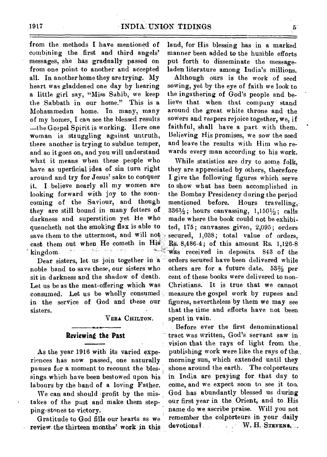from the methods I have mentioned of combining the first and third angels' messages, she has gradually passed on from one point to another and accepted all. In another home they are trying. My heart was gladdened one day by hearing a little girl say, "Miss Sahib, we keep the Sabbath in our home." This is a Mohammedan home. In many, many of my homes, I can see the blessed results —the Gospel Spirit is working. Here one woman is struggling against untruth, there another is trying to subdue temper, and so it goes on, and you will understand what it means when these people who have as uperficial idea of sin turn right around and try for Jesus' sake to conquer it. I believe nearly all my women are looking forward with joy to the sooncoming of the Saviour, and though they are still bound in many fetters of darkness and superstition yet He who quencheth not the smoking flax is able to save them to the uttermost, and will not cast them out when He cometh in His kingdom. '

Dear sisters, let us join together in a noble band to save these, our sisters who sit in darkness and the shadow of death. Let us be as the meat-offering which was consumed. Let us be wholly consumed in the service of God and these our sisters.

**VERA CHILTON.** 

## **Reviewing the Past**

As the year 1916 with its varied experiences has now passed, one naturally pauses for a moment to recount the blessings which have been bestowed upon his labours by the hand of a loving Father.

We can and should profit by the mistakes of the past and make them stepping-stones to victory.

Gratitude to God fills our hearts as we review the thirteen months' work in this land, for His blessing has in a marked manner been added to the humble efforts put forth to disseminate the messageladen literature among India's millions.

Although ours is the work of seed sowing, yet by the eye of faith we look to the ingathering of God's people and believe that when that company stand around the great white throne and the sowers and reapers rejoice together, we, if faithful, shall have a part with them. Believing His promises, we sow the seed and leave the results with Him who rewards every man according to his work.

While statistics are dry to some folk, they are appreciated by others, therefore I give the following figures which serve to show what has been accomplished in the Bombay Presidency during the period mentioned before. Hours travelling,  $336\frac{1}{2}$ ; hours canvassing,  $1,150\frac{1}{2}$ ; calls made where the book could not be exhibited, 175; canvasses given, 2,095; orders secured, 1,038; total value of orders, Rs. 8,486-4; of this amount Rs. 1,126-8 -was received in deposits. 843 of the orders secured have been delivered while others are for a future date.  $53\frac{2}{3}$  per cent of these books were delivered to non-Christians. It is true that we cannot measure the gospel work by rupees and figures, nevertheless by them we may see that the time and efforts have not been spent in vain.

Before ever the first denominational tract was written, God's servant saw in vision that the rays of light from the publishing work were like the rays of the, morning sun, which extended until they shone around the earth. The colporteurs in India are praying for that day to come, and we expect soon to see it too. God has abundantly blessed us during our first year in the Orient, and to His name do we ascribe praise. Will you not remember the colporteurs in your daily devotions?. W. **H. STEVENS.**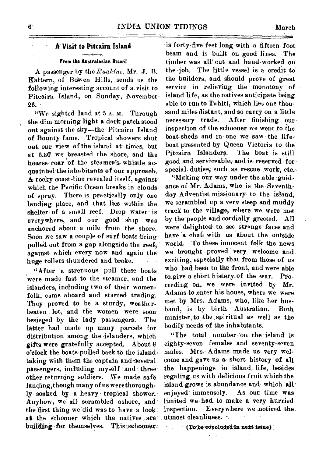## A **Visit to Pitcairn Island**

## **From the Australasian Record**

A passenger by the *Rualtine,* Mr. J. B. Kattern, of Bowen Hills, sends us the following interesting account of a visit to Pitcairn Island, on Sunday, November-26.

"We sighted land at 5 A. M. Through the dim morning light a dark patch stood out against the sky—the Pitcairn Island of Bounty fame. Tropical showers shut out our view of the island at times, but at 6.30 we breasted the shore, and the hoarse roar of the steamer's. whistle acquainted theinhabitants of our approach:  $A$  rocky coast-line revealed itself, against which the Pacific Ocean breaks in clouds of spray. There is practically only one landing place, and that lies within the shelter of a small reef. Deep water is everywhere, and our good ship was anchored about a mile from the shore. Soon we saw a couple of surf boats being pulled out from a gap alongside the reef, against which every now and again thehuge rollers thundered and broke.

"After a strenuous pull these boats were made fast to the steamer, and the islanders, including two of their womenfolk, came aboard and started trading. They proved to be a sturdy, weatherbeaten lot, and the women were soon besieged by the lady passengers. The latter had made up many parcels for distribution among the islanders, which gifts were gratefully accepted. About 8 o'clock the boats pulled back to the island taking with them the captain and-several passengers, including myself and three other returning soldiers. We made safe landing, though many of us were thoroughly soaked by a heavy tropical shower.' Anyhow, we' all scrambled ashore, and the first thing we did was to have a look. at the schooner which the natives arebuilding for themselves. This schooner.

is forty-five feet long with a fifteen foot beam and is built on good lines. The timber was all cut and hand-worked on the job. The little vessel is a credit to the builders, and should prove of great service in relieving the monotony of island life, as the natives Anticipate being able to run to Tahiti, which lies one thousand miles distant; and so carry on a little necessary trade. After finishing our inspection of the schooner we went to the boat-sheds and in one we saw the lifeboat presented by Queen Victoria to the Pitcairn Islanders. The boat is still good and serviceable, and is, reserved for special duties, such as rescue work, etc.

"Making our way under the able .guidance of Mr. Adams, who is the Seventhday Adventist missionary to the island. we scrambled up a very steep and muddy track to the village, where we were met by the people and cordially greeted. All were delighted to see strange faces and, have  $a$  chat with us about the outside world. To these innocent folk the news we brought proved very welcome and exciting, especially that from those of us who had been to the front, and were able to give a short history of the war. Proceeding on, we were invited by Mr. Adams to enter his house, where we were met by Mrs,. Adams, who,. like her husband, is by birth Australian. Both minister, to the spiritual as well as the bodily needs of the inhabitants.

"The total.: number on the island is eighty-seven females and seventy-seven males. Mrs. Adams made us very welcome and-gave us a short history of all the happenings in island, life, besides regaling us with delicious fruit which the island grows is abundance and which all' enjoyed: immensely. As our time was limited we, had to make a very hurried inspection. Everywhere we noticed the utmost cleanliness.

 $(1000 \times 10^{-4})$  (To be concluded in next issue) ;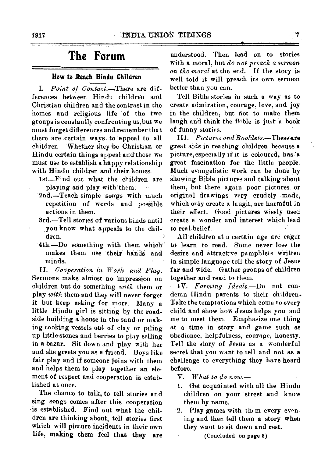# **The Forum**

## **How to Reach Hindu Children**

*I. Point of Contact.--There* are differences between Hindu children and Christian children and the contrast in the homes and religious life of the two groups is constantly confronting us, but we must forget differences and\_remember that there are certain ways to appeal to all children. Whether they be Christian or Hindu certain things appeal and those we must use to establish a happy relationship with Hindu children and their homes.

- 1st—Find out what the children are playing and play with them.
- 2nd.—Teach simple songs with much repetition of words and possible actions in them.
- 3rd.—Tell stories of various kinds until you know what appeals to the ehildren.
- 4th.—Do something with them which makes them use their hands and minds.

*II. Cooperation in Work and Play.*  Sermons make almost no impression on children but do something *with* them or play *with* them and they will never forget it but keep asking for more. Many a little Hindu girl is sitting by the roadside building a house in the sand or making cooking vessels out of clay or piling up little stones and berries to play selling in a bazar. Sit down and play with her and she greets you as a friend. Boys like fair play and if someone joins with them and helps them to play together an element of respect and cooperation is established at once.

The chance to talk, to tell stories and sing songs comes after this cooperation -is established. Find out what the children are thinking about, tell stories first which will picture incidents in their own life, making them feel that they are

understood. Then lead \_on to stories with a moral, but *do not preach a sermon on the moral* at the end. If the story is well told it will preach its own sermon better than you can.

Tell Bible stories in such a way as to create admiration, courage, love, and joy in the children, but not to make them laugh and think the Bible is just a book of funny stories.

*III. Pictures and Booklets.—These* **ate**  great aids in reaching children because **&**  picture, especially if it is coloured, has 'a great fascination for the little people. Much evangelistic work can be done by showing Bible pictures and talking about them, but there again poor pictures or original drawings very crudely made, which only create a laugh, are harmful in their effect. Good pictures wisely used create a wonder and interest which lead to real belief.

All children at a certain age are eager to learn to read. Some never lose the desire and attractive pamphlets written in simple language tell the story of Jesus far and wide. Gather groups of children together and read to them.

*IV. Forming Ideals.—Do* not condemn Hindu parents to their children. Take the temptations which come to every child and show how Jesus helps you and me to meet them. Emphasize one thing at a time in story and game such as obedience, helpfulness, courage, honesty. Tell the story of Jesus as a wonderful secret that you want to tell and not **as a**  challenge to everything they have heard before.

*V. What to do now.-* 

- 1. Get acquainted with all the Hindu children on your street and know them by name.
- 2. Play games with them every evening and then tell them **a** story when they want to sit down and rest.

(Concluded on page 8)